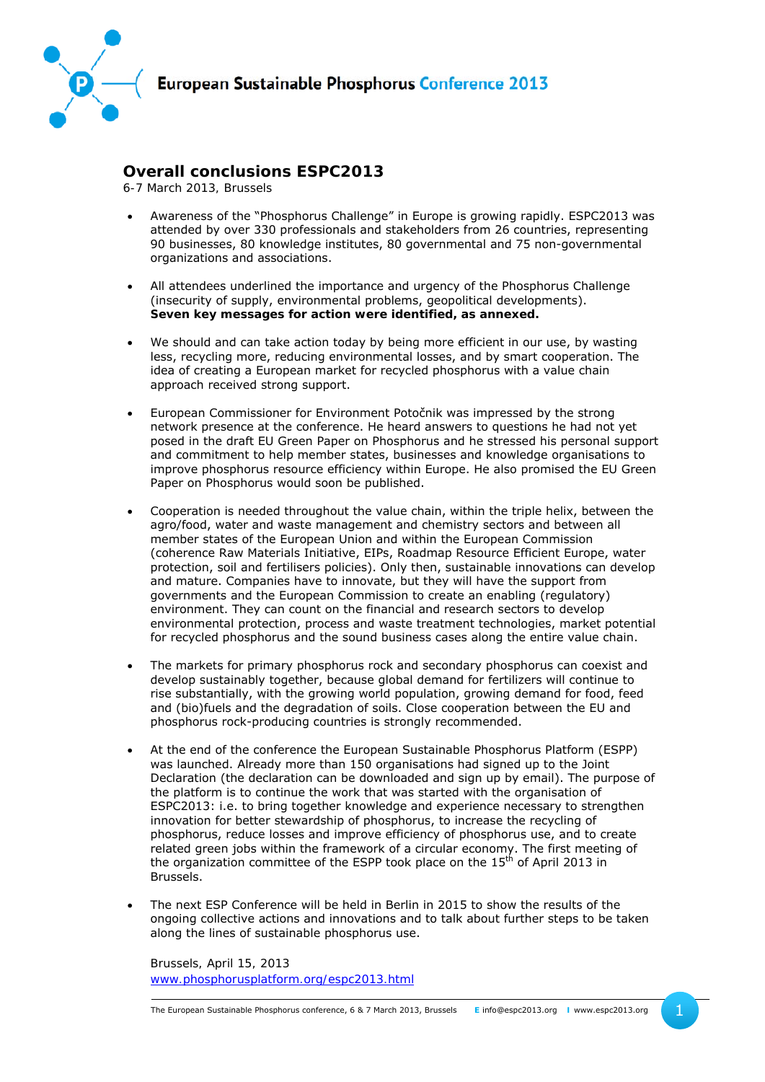

## **Overall conclusions ESPC2013**

*6-7 March 2013, Brussels* 

- Awareness of the "Phosphorus Challenge" in Europe is growing rapidly. ESPC2013 was attended by over 330 professionals and stakeholders from 26 countries, representing 90 businesses, 80 knowledge institutes, 80 governmental and 75 non-governmental organizations and associations.
- All attendees underlined the importance and urgency of the Phosphorus Challenge (insecurity of supply, environmental problems, geopolitical developments). **Seven key messages for action were identified, as annexed.**
- We should and can take action today by being more efficient in our use, by wasting less, recycling more, reducing environmental losses, and by smart cooperation. The idea of creating a European market for recycled phosphorus with a value chain approach received strong support.
- European Commissioner for Environment Potočnik was impressed by the strong network presence at the conference. He heard answers to questions he had not yet posed in the draft EU Green Paper on Phosphorus and he stressed his personal support and commitment to help member states, businesses and knowledge organisations to improve phosphorus resource efficiency within Europe. He also promised the EU Green Paper on Phosphorus would soon be published.
- Cooperation is needed throughout the value chain, within the triple helix, between the agro/food, water and waste management and chemistry sectors and between all member states of the European Union and within the European Commission (coherence Raw Materials Initiative, EIPs, Roadmap Resource Efficient Europe, water protection, soil and fertilisers policies). Only then, sustainable innovations can develop and mature. Companies have to innovate, but they will have the support from governments and the European Commission to create an enabling (regulatory) environment. They can count on the financial and research sectors to develop environmental protection, process and waste treatment technologies, market potential for recycled phosphorus and the sound business cases along the entire value chain.
- The markets for primary phosphorus rock and secondary phosphorus can coexist and develop sustainably together, because global demand for fertilizers will continue to rise substantially, with the growing world population, growing demand for food, feed and (bio)fuels and the degradation of soils. Close cooperation between the EU and phosphorus rock-producing countries is strongly recommended.
- At the end of the conference the European Sustainable Phosphorus Platform (ESPP) was launched. Already more than 150 organisations had signed up to the Joint Declaration (the declaration can be downloaded and sign up by email). The purpose of the platform is to continue the work that was started with the organisation of ESPC2013: i.e. to bring together knowledge and experience necessary to strengthen innovation for better stewardship of phosphorus, to increase the recycling of phosphorus, reduce losses and improve efficiency of phosphorus use, and to create related green jobs within the framework of a circular economy. The first meeting of the organization committee of the ESPP took place on the  $15<sup>th</sup>$  of April 2013 in Brussels.
- The next ESP Conference will be held in Berlin in 2015 to show the results of the ongoing collective actions and innovations and to talk about further steps to be taken along the lines of sustainable phosphorus use.

*Brussels, April 15, 2013 www.phosphorusplatform.org/espc2013.html*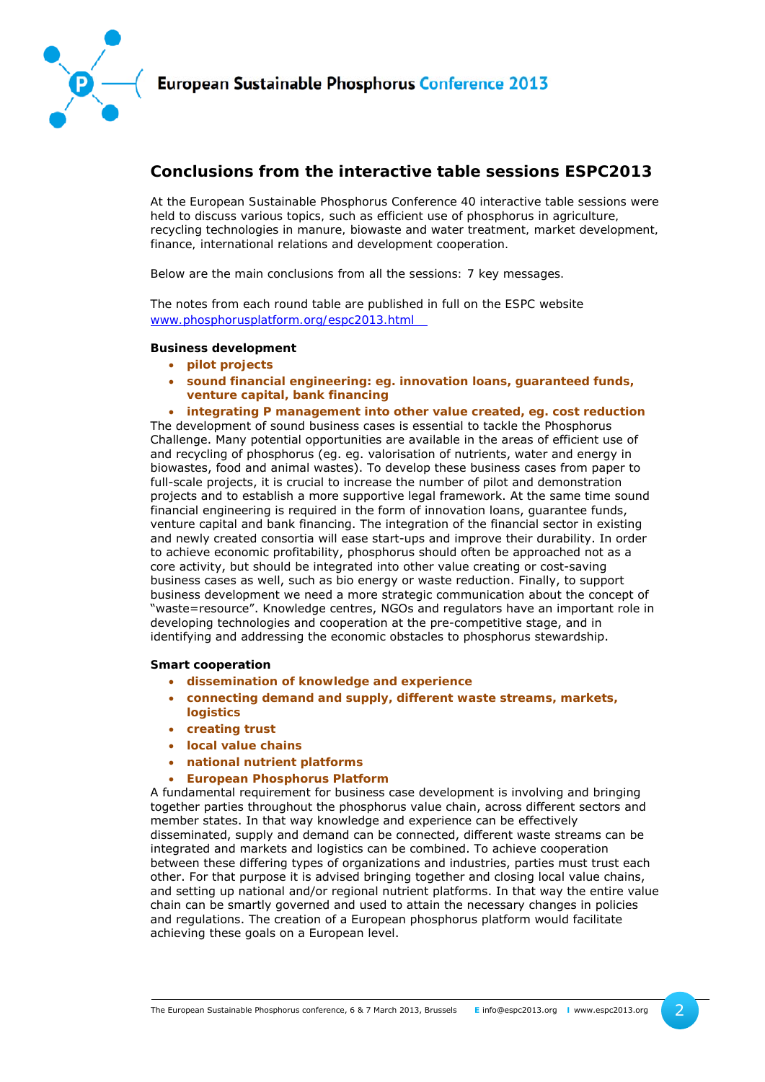

# **Conclusions from the interactive table sessions ESPC2013**

*At the European Sustainable Phosphorus Conference 40 interactive table sessions were held to discuss various topics, such as efficient use of phosphorus in agriculture, recycling technologies in manure, biowaste and water treatment, market development, finance, international relations and development cooperation.* 

*Below are the main conclusions from all the sessions: 7 key messages.* 

*The notes from each round table are published in full on the ESPC website www.phosphorusplatform.org/espc2013.html* 

## **Business development**

- **pilot projects**
- **sound financial engineering: eg. innovation loans, guaranteed funds, venture capital, bank financing**
- **integrating P management into other value created, eg. cost reduction**

The development of sound business cases is essential to tackle the Phosphorus Challenge. Many potential opportunities are available in the areas of efficient use of and recycling of phosphorus (eg. eg. valorisation of nutrients, water and energy in biowastes, food and animal wastes). To develop these business cases from paper to full-scale projects, it is crucial to increase the number of pilot and demonstration projects and to establish a more supportive legal framework. At the same time sound financial engineering is required in the form of innovation loans, guarantee funds, venture capital and bank financing. The integration of the financial sector in existing and newly created consortia will ease start-ups and improve their durability. In order to achieve economic profitability, phosphorus should often be approached not as a core activity, but should be integrated into other value creating or cost-saving business cases as well, such as bio energy or waste reduction. Finally, to support business development we need a more strategic communication about the concept of "waste=resource". Knowledge centres, NGOs and regulators have an important role in developing technologies and cooperation at the pre-competitive stage, and in identifying and addressing the economic obstacles to phosphorus stewardship.

#### **Smart cooperation**

- **dissemination of knowledge and experience**
- **connecting demand and supply, different waste streams, markets, logistics**
- **creating trust**
- **local value chains**
- **national nutrient platforms**
- **European Phosphorus Platform**

A fundamental requirement for business case development is involving and bringing together parties throughout the phosphorus value chain, across different sectors and member states. In that way knowledge and experience can be effectively disseminated, supply and demand can be connected, different waste streams can be integrated and markets and logistics can be combined. To achieve cooperation between these differing types of organizations and industries, parties must trust each other. For that purpose it is advised bringing together and closing local value chains, and setting up national and/or regional nutrient platforms. In that way the entire value chain can be smartly governed and used to attain the necessary changes in policies and regulations. The creation of a European phosphorus platform would facilitate achieving these goals on a European level.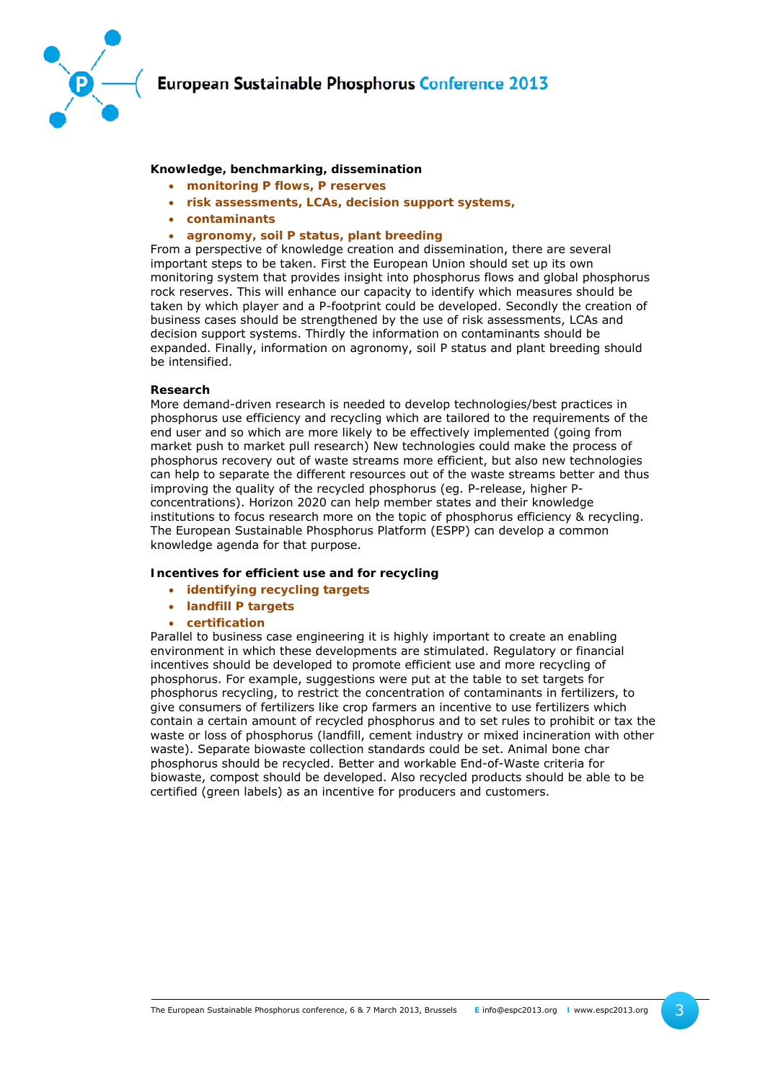

### **Knowledge, benchmarking, dissemination**

- **monitoring P flows, P reserves**
- **risk assessments, LCAs, decision support systems,**
- **contaminants**
- **agronomy, soil P status, plant breeding**

From a perspective of knowledge creation and dissemination, there are several important steps to be taken. First the European Union should set up its own monitoring system that provides insight into phosphorus flows and global phosphorus rock reserves. This will enhance our capacity to identify which measures should be taken by which player and a P-footprint could be developed. Secondly the creation of business cases should be strengthened by the use of risk assessments, LCAs and decision support systems. Thirdly the information on contaminants should be expanded. Finally, information on agronomy, soil P status and plant breeding should be intensified.

#### **Research**

More demand-driven research is needed to develop technologies/best practices in phosphorus use efficiency and recycling which are tailored to the requirements of the end user and so which are more likely to be effectively implemented (going from market push to market pull research) New technologies could make the process of phosphorus recovery out of waste streams more efficient, but also new technologies can help to separate the different resources out of the waste streams better and thus improving the quality of the recycled phosphorus (eg. P-release, higher Pconcentrations). Horizon 2020 can help member states and their knowledge institutions to focus research more on the topic of phosphorus efficiency & recycling. The European Sustainable Phosphorus Platform (ESPP) can develop a common knowledge agenda for that purpose.

#### **Incentives for efficient use and for recycling**

- **identifying recycling targets**
- **landfill P targets**
- **certification**

Parallel to business case engineering it is highly important to create an enabling environment in which these developments are stimulated. Regulatory or financial incentives should be developed to promote efficient use and more recycling of phosphorus. For example, suggestions were put at the table to set targets for phosphorus recycling, to restrict the concentration of contaminants in fertilizers, to give consumers of fertilizers like crop farmers an incentive to use fertilizers which contain a certain amount of recycled phosphorus and to set rules to prohibit or tax the waste or loss of phosphorus (landfill, cement industry or mixed incineration with other waste). Separate biowaste collection standards could be set. Animal bone char phosphorus should be recycled. Better and workable End-of-Waste criteria for biowaste, compost should be developed. Also recycled products should be able to be certified (green labels) as an incentive for producers and customers.